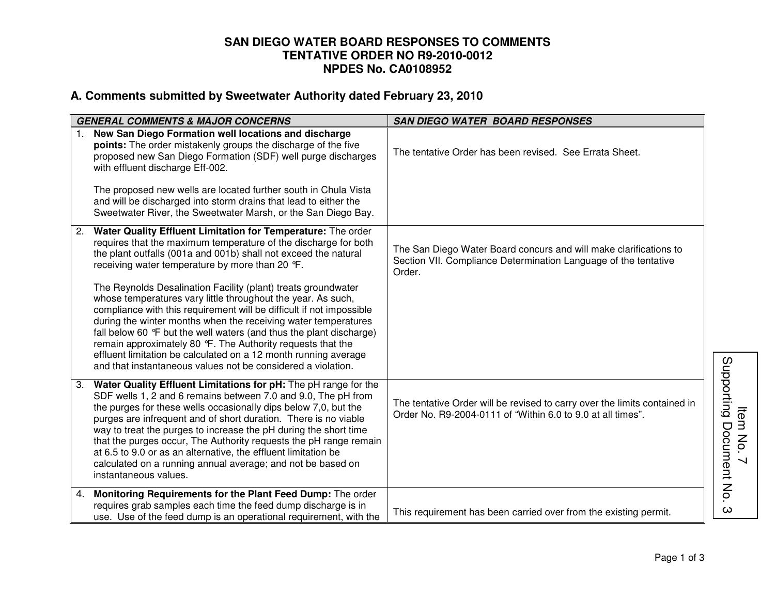## **SAN DIEGO WATER BOARD RESPONSES TO COMMENTS TENTATIVE ORDER NO R9-2010-0012 NPDES No. CA0108952**

## **A. Comments submitted by Sweetwater Authority dated February 23, 2010**

| <b>GENERAL COMMENTS &amp; MAJOR CONCERNS</b> |                                                                                                                                                                                                                                                                                                                                                                                                                                                                                                                                                                           | <b>SAN DIEGO WATER BOARD RESPONSES</b>                                                                                                         |                                                          |
|----------------------------------------------|---------------------------------------------------------------------------------------------------------------------------------------------------------------------------------------------------------------------------------------------------------------------------------------------------------------------------------------------------------------------------------------------------------------------------------------------------------------------------------------------------------------------------------------------------------------------------|------------------------------------------------------------------------------------------------------------------------------------------------|----------------------------------------------------------|
| $1_{\cdot}$                                  | New San Diego Formation well locations and discharge<br>points: The order mistakenly groups the discharge of the five<br>proposed new San Diego Formation (SDF) well purge discharges<br>with effluent discharge Eff-002.                                                                                                                                                                                                                                                                                                                                                 | The tentative Order has been revised. See Errata Sheet.                                                                                        |                                                          |
|                                              | The proposed new wells are located further south in Chula Vista<br>and will be discharged into storm drains that lead to either the<br>Sweetwater River, the Sweetwater Marsh, or the San Diego Bay.                                                                                                                                                                                                                                                                                                                                                                      |                                                                                                                                                |                                                          |
| 2.                                           | Water Quality Effluent Limitation for Temperature: The order<br>requires that the maximum temperature of the discharge for both<br>the plant outfalls (001a and 001b) shall not exceed the natural<br>receiving water temperature by more than 20 °F.                                                                                                                                                                                                                                                                                                                     | The San Diego Water Board concurs and will make clarifications to<br>Section VII. Compliance Determination Language of the tentative<br>Order. |                                                          |
|                                              | The Reynolds Desalination Facility (plant) treats groundwater<br>whose temperatures vary little throughout the year. As such,<br>compliance with this requirement will be difficult if not impossible<br>during the winter months when the receiving water temperatures<br>fall below 60 °F but the well waters (and thus the plant discharge)<br>remain approximately 80 °F. The Authority requests that the<br>effluent limitation be calculated on a 12 month running average<br>and that instantaneous values not be considered a violation.                          |                                                                                                                                                |                                                          |
| 3.                                           | Water Quality Effluent Limitations for pH: The pH range for the<br>SDF wells 1, 2 and 6 remains between 7.0 and 9.0, The pH from<br>the purges for these wells occasionally dips below 7,0, but the<br>purges are infrequent and of short duration. There is no viable<br>way to treat the purges to increase the pH during the short time<br>that the purges occur, The Authority requests the pH range remain<br>at 6.5 to 9.0 or as an alternative, the effluent limitation be<br>calculated on a running annual average; and not be based on<br>instantaneous values. | The tentative Order will be revised to carry over the limits contained in<br>Order No. R9-2004-0111 of "Within 6.0 to 9.0 at all times".       | Supporting<br>ltem<br>Document No.<br>$\mathsf{S}% _{T}$ |
| 4.                                           | Monitoring Requirements for the Plant Feed Dump: The order<br>requires grab samples each time the feed dump discharge is in<br>use. Use of the feed dump is an operational requirement, with the                                                                                                                                                                                                                                                                                                                                                                          | This requirement has been carried over from the existing permit.                                                                               | ω                                                        |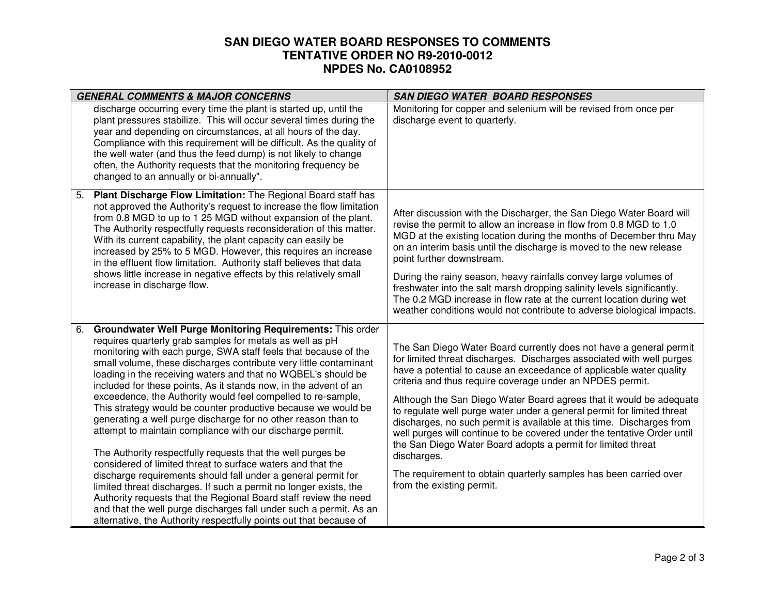## **SAN DIEGO WATER BOARD RESPONSES TO COMMENTS TENTATIVE ORDER NO R9-2010-0012 NPDES No. CA0108952**

| <b>GENERAL COMMENTS &amp; MAJOR CONCERNS</b>                                                                                                                                                                                                                                                                                                                                                                                                                                                                                                                                                                                                                                                                                                                                                                                                                                                                                                                                                                                                                                                                                                                 | <b>SAN DIEGO WATER BOARD RESPONSES</b>                                                                                                                                                                                                                                                                                                                                                                                                                                                                                                                                                                                                                                                                                                                                |  |
|--------------------------------------------------------------------------------------------------------------------------------------------------------------------------------------------------------------------------------------------------------------------------------------------------------------------------------------------------------------------------------------------------------------------------------------------------------------------------------------------------------------------------------------------------------------------------------------------------------------------------------------------------------------------------------------------------------------------------------------------------------------------------------------------------------------------------------------------------------------------------------------------------------------------------------------------------------------------------------------------------------------------------------------------------------------------------------------------------------------------------------------------------------------|-----------------------------------------------------------------------------------------------------------------------------------------------------------------------------------------------------------------------------------------------------------------------------------------------------------------------------------------------------------------------------------------------------------------------------------------------------------------------------------------------------------------------------------------------------------------------------------------------------------------------------------------------------------------------------------------------------------------------------------------------------------------------|--|
| discharge occurring every time the plant is started up, until the<br>plant pressures stabilize. This will occur several times during the<br>year and depending on circumstances, at all hours of the day.<br>Compliance with this requirement will be difficult. As the quality of<br>the well water (and thus the feed dump) is not likely to change<br>often, the Authority requests that the monitoring frequency be<br>changed to an annually or bi-annually".                                                                                                                                                                                                                                                                                                                                                                                                                                                                                                                                                                                                                                                                                           | Monitoring for copper and selenium will be revised from once per<br>discharge event to quarterly.                                                                                                                                                                                                                                                                                                                                                                                                                                                                                                                                                                                                                                                                     |  |
| Plant Discharge Flow Limitation: The Regional Board staff has<br>5.<br>not approved the Authority's request to increase the flow limitation<br>from 0.8 MGD to up to 1 25 MGD without expansion of the plant.<br>The Authority respectfully requests reconsideration of this matter.<br>With its current capability, the plant capacity can easily be<br>increased by 25% to 5 MGD. However, this requires an increase<br>in the effluent flow limitation. Authority staff believes that data<br>shows little increase in negative effects by this relatively small<br>increase in discharge flow.                                                                                                                                                                                                                                                                                                                                                                                                                                                                                                                                                           | After discussion with the Discharger, the San Diego Water Board will<br>revise the permit to allow an increase in flow from 0.8 MGD to 1.0<br>MGD at the existing location during the months of December thru May<br>on an interim basis until the discharge is moved to the new release<br>point further downstream.<br>During the rainy season, heavy rainfalls convey large volumes of<br>freshwater into the salt marsh dropping salinity levels significantly.<br>The 0.2 MGD increase in flow rate at the current location during wet<br>weather conditions would not contribute to adverse biological impacts.                                                                                                                                                 |  |
| Groundwater Well Purge Monitoring Requirements: This order<br>6.<br>requires quarterly grab samples for metals as well as pH<br>monitoring with each purge, SWA staff feels that because of the<br>small volume, these discharges contribute very little contaminant<br>loading in the receiving waters and that no WQBEL's should be<br>included for these points, As it stands now, in the advent of an<br>exceedence, the Authority would feel compelled to re-sample,<br>This strategy would be counter productive because we would be<br>generating a well purge discharge for no other reason than to<br>attempt to maintain compliance with our discharge permit.<br>The Authority respectfully requests that the well purges be<br>considered of limited threat to surface waters and that the<br>discharge requirements should fall under a general permit for<br>limited threat discharges. If such a permit no longer exists, the<br>Authority requests that the Regional Board staff review the need<br>and that the well purge discharges fall under such a permit. As an<br>alternative, the Authority respectfully points out that because of | The San Diego Water Board currently does not have a general permit<br>for limited threat discharges. Discharges associated with well purges<br>have a potential to cause an exceedance of applicable water quality<br>criteria and thus require coverage under an NPDES permit.<br>Although the San Diego Water Board agrees that it would be adequate<br>to regulate well purge water under a general permit for limited threat<br>discharges, no such permit is available at this time. Discharges from<br>well purges will continue to be covered under the tentative Order until<br>the San Diego Water Board adopts a permit for limited threat<br>discharges.<br>The requirement to obtain quarterly samples has been carried over<br>from the existing permit. |  |